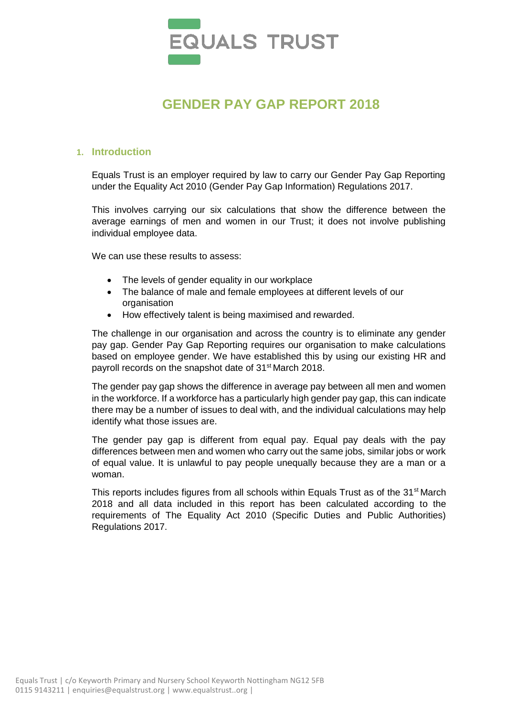

# **GENDER PAY GAP REPORT 2018**

#### **1. Introduction**

Equals Trust is an employer required by law to carry our Gender Pay Gap Reporting under the Equality Act 2010 (Gender Pay Gap Information) Regulations 2017.

This involves carrying our six calculations that show the difference between the average earnings of men and women in our Trust; it does not involve publishing individual employee data.

We can use these results to assess:

- The levels of gender equality in our workplace
- The balance of male and female employees at different levels of our organisation
- How effectively talent is being maximised and rewarded.

The challenge in our organisation and across the country is to eliminate any gender pay gap. Gender Pay Gap Reporting requires our organisation to make calculations based on employee gender. We have established this by using our existing HR and payroll records on the snapshot date of 31<sup>st</sup> March 2018.

The gender pay gap shows the difference in average pay between all men and women in the workforce. If a workforce has a particularly high gender pay gap, this can indicate there may be a number of issues to deal with, and the individual calculations may help identify what those issues are.

The gender pay gap is different from equal pay. Equal pay deals with the pay differences between men and women who carry out the same jobs, similar jobs or work of equal value. It is unlawful to pay people unequally because they are a man or a woman.

This reports includes figures from all schools within Equals Trust as of the 31<sup>st</sup> March 2018 and all data included in this report has been calculated according to the requirements of The Equality Act 2010 (Specific Duties and Public Authorities) Regulations 2017.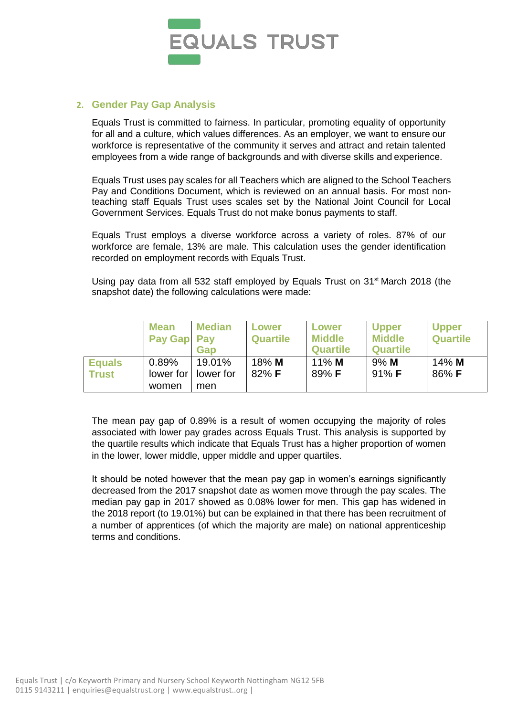

### **2. Gender Pay Gap Analysis**

Equals Trust is committed to fairness. In particular, promoting equality of opportunity for all and a culture, which values differences. As an employer, we want to ensure our workforce is representative of the community it serves and attract and retain talented employees from a wide range of backgrounds and with diverse skills and experience.

Equals Trust uses pay scales for all Teachers which are aligned to the School Teachers Pay and Conditions Document, which is reviewed on an annual basis. For most nonteaching staff Equals Trust uses scales set by the National Joint Council for Local Government Services. Equals Trust do not make bonus payments to staff.

Equals Trust employs a diverse workforce across a variety of roles. 87% of our workforce are female, 13% are male. This calculation uses the gender identification recorded on employment records with Equals Trust.

Using pay data from all 532 staff employed by Equals Trust on  $31<sup>st</sup>$  March 2018 (the snapshot date) the following calculations were made:

|               | <b>Mean</b><br>Pay Gap Pay | <b>Median</b><br>Gap | Lower<br><b>Quartile</b> | <b>Lower</b><br><b>Middle</b><br><b>Quartile</b> | <b>Upper</b><br><b>Middle</b><br><b>Quartile</b> | <b>Upper</b><br><b>Quartile</b> |
|---------------|----------------------------|----------------------|--------------------------|--------------------------------------------------|--------------------------------------------------|---------------------------------|
| <b>Equals</b> | 0.89%                      | 19.01%               | $18\%$ M                 | $11\%$ M                                         | $9%$ M                                           | $14\%$ M                        |
| <b>Trust</b>  | lower for                  | lower for            | $82\%$ F                 | 89% F                                            | $91\%$ F                                         | 86% F                           |
|               | women                      | men                  |                          |                                                  |                                                  |                                 |

The mean pay gap of 0.89% is a result of women occupying the majority of roles associated with lower pay grades across Equals Trust. This analysis is supported by the quartile results which indicate that Equals Trust has a higher proportion of women in the lower, lower middle, upper middle and upper quartiles.

It should be noted however that the mean pay gap in women's earnings significantly decreased from the 2017 snapshot date as women move through the pay scales. The median pay gap in 2017 showed as 0.08% lower for men. This gap has widened in the 2018 report (to 19.01%) but can be explained in that there has been recruitment of a number of apprentices (of which the majority are male) on national apprenticeship terms and conditions.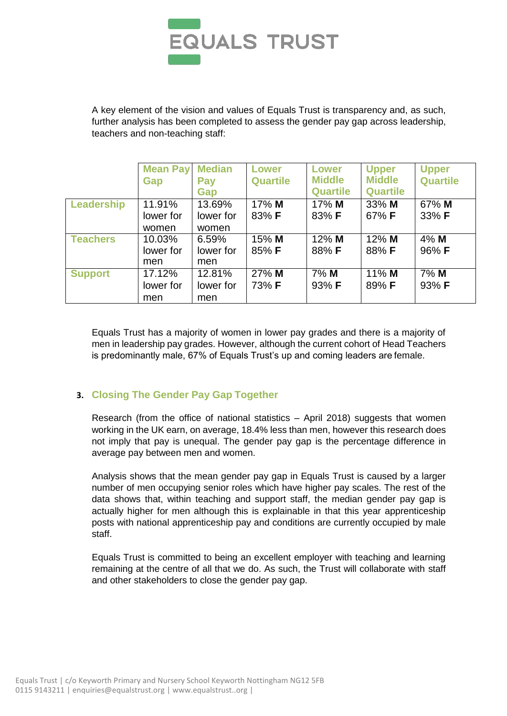

A key element of the vision and values of Equals Trust is transparency and, as such, further analysis has been completed to assess the gender pay gap across leadership, teachers and non-teaching staff:

|                 | <b>Mean Pay</b><br>Gap | <b>Median</b><br>Pay<br>Gap | Lower<br><b>Quartile</b> | <b>Lower</b><br><b>Middle</b><br><b>Quartile</b> | <b>Upper</b><br><b>Middle</b><br><b>Quartile</b> | <b>Upper</b><br><b>Quartile</b> |
|-----------------|------------------------|-----------------------------|--------------------------|--------------------------------------------------|--------------------------------------------------|---------------------------------|
| Leadership      | 11.91%                 | 13.69%                      | $17\%$ M                 | $17\%$ M                                         | $33\%$ M                                         | 67% M                           |
|                 | lower for              | lower for                   | 83% F                    | 83% F                                            | 67% <b>F</b>                                     | 33% F                           |
|                 | women                  | women                       |                          |                                                  |                                                  |                                 |
| <b>Teachers</b> | 10.03%                 | 6.59%                       | 15% M                    | $12\%$ M                                         | $12\%$ M                                         | $4\%$ M                         |
|                 | lower for              | lower for                   | 85% F                    | 88% F                                            | $88\%$ F                                         | 96% <b>F</b>                    |
|                 | men                    | men                         |                          |                                                  |                                                  |                                 |
| <b>Support</b>  | 17.12%                 | 12.81%                      | 27% M                    | 7% M                                             | $11\%$ M                                         | 7% M                            |
|                 | lower for              | lower for                   | 73% F                    | 93% F                                            | $89\%$ F                                         | 93% F                           |
|                 | men                    | men                         |                          |                                                  |                                                  |                                 |

Equals Trust has a majority of women in lower pay grades and there is a majority of men in leadership pay grades. However, although the current cohort of Head Teachers is predominantly male, 67% of Equals Trust's up and coming leaders are female.

## **3. Closing The Gender Pay Gap Together**

Research (from the office of national statistics – April 2018) suggests that women working in the UK earn, on average, 18.4% less than men, however this research does not imply that pay is unequal. The gender pay gap is the percentage difference in average pay between men and women.

Analysis shows that the mean gender pay gap in Equals Trust is caused by a larger number of men occupying senior roles which have higher pay scales. The rest of the data shows that, within teaching and support staff, the median gender pay gap is actually higher for men although this is explainable in that this year apprenticeship posts with national apprenticeship pay and conditions are currently occupied by male staff.

Equals Trust is committed to being an excellent employer with teaching and learning remaining at the centre of all that we do. As such, the Trust will collaborate with staff and other stakeholders to close the gender pay gap.